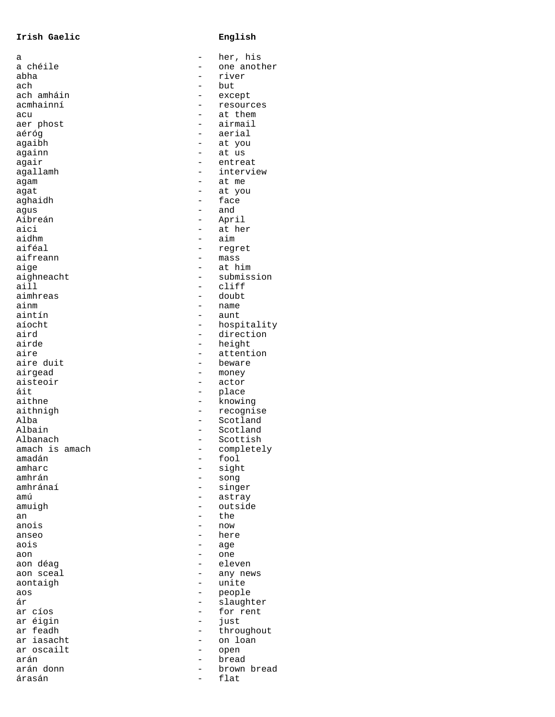## **Irish Gaelic English**

| а              |   | her, his    |
|----------------|---|-------------|
| a chéile       |   | one another |
| abha           |   | river       |
| ach            |   | but         |
| ach amháin     |   | except      |
| acmhainní      |   | resources   |
|                |   |             |
| acu            |   | at them     |
| aer phost      |   | airmail     |
| aéróg          |   | aerial      |
| agaibh         |   | at you      |
| againn         |   | at us       |
| agair          |   | entreat     |
| agallamh       |   | interview   |
|                |   |             |
| agam           |   | at me       |
| agat           |   | at you      |
| aghaidh        |   | face        |
| agus           |   | and         |
| Aibreán        |   | April       |
| aici           |   | at her      |
| aidhm          |   | aim         |
| aiféal         |   |             |
|                |   | regret      |
| aifreann       |   | mass        |
| aige           |   | at him      |
| aighneacht     |   | submission  |
| aill           |   | cliff       |
| aimhreas       |   | doubt       |
|                |   |             |
| ainm           |   | name        |
| aintín         |   | aunt        |
| aíocht         |   | hospitality |
| aird           |   | direction   |
| airde          |   | height      |
| aire           |   | attention   |
| aire duit      |   | beware      |
|                |   |             |
| airgead        |   | money       |
| aisteoir       |   | actor       |
| áit            |   | place       |
| aithne         |   | knowing     |
| aithnigh       |   | recognise   |
| Alba           |   | Scotland    |
| Albain         |   | Scotland    |
|                |   |             |
| Albanach       |   | Scottish    |
| amach is amach |   | completely  |
| amadán         | — | fool        |
| amharc         |   | sight       |
| amhrán         |   | song        |
| amhránaí       |   | singer      |
|                |   |             |
| amú            |   | astray      |
| amuigh         |   | outside     |
| an             |   | the         |
| anois          |   | now         |
| anseo          |   | here        |
| aois           |   | age         |
| aon            |   | one         |
|                |   |             |
| aon déag       |   | eleven      |
| aon sceal      |   | any news    |
| aontaigh       |   | unite       |
| aos            |   | people      |
| ár             |   | slaughter   |
| ar cíos        |   | for rent    |
|                |   |             |
| ar éigin       |   | just        |
| ar feadh       |   | throughout  |
| ar iasacht     |   | on loan     |
| ar oscailt     |   | open        |
| arán           |   | bread       |
| arán donn      |   | brown bread |
| árasán         |   | flat        |
|                |   |             |

|                | her, his    |
|----------------|-------------|
|                |             |
|                |             |
|                | one another |
|                | river       |
|                |             |
|                | but         |
|                | except      |
|                |             |
|                | resources   |
|                | at them     |
|                |             |
|                | airmail     |
|                | aerial      |
|                |             |
|                | at you      |
|                |             |
|                | at us       |
|                | entreat     |
|                | interview   |
|                |             |
| $\overline{a}$ | at me       |
|                |             |
|                | at you      |
|                | face        |
|                | and         |
|                |             |
|                | April       |
|                |             |
|                | at her      |
|                | aim         |
|                |             |
|                | regret      |
|                | mass        |
|                |             |
|                | at him      |
|                | submission  |
|                |             |
|                | cliff       |
|                | doubt       |
| $\overline{a}$ |             |
|                | name        |
|                | aunt        |
|                |             |
|                | hospitality |
|                | direction   |
| $\overline{a}$ |             |
|                | height      |
|                | attention   |
|                |             |
|                | beware      |
|                | money       |
|                |             |
|                | actor       |
|                | place       |
|                |             |
|                |             |
|                | knowing     |
|                |             |
|                | recognise   |
|                | Scotland    |
|                |             |
|                | Scotland    |
|                | Scottish    |
|                |             |
|                | completely  |
|                | fool        |
|                | sight       |
|                |             |
|                | song        |
|                | singer      |
|                |             |
|                | astray      |
| $\overline{a}$ | outside     |
|                |             |
|                | the         |
| $\overline{a}$ | now         |
|                |             |
| $\overline{a}$ | here        |
| $\overline{a}$ | age         |
|                |             |
|                | one         |
| $\overline{a}$ | eleven      |
|                |             |
|                | any news    |
| $\overline{a}$ | unite       |
|                |             |
|                | people      |
|                |             |
|                | slaughter   |
| $\overline{a}$ | for rent    |
| $\overline{a}$ | just        |
|                |             |
|                | throughout  |
|                | loan<br>on  |
|                |             |
|                | open        |
|                | bread       |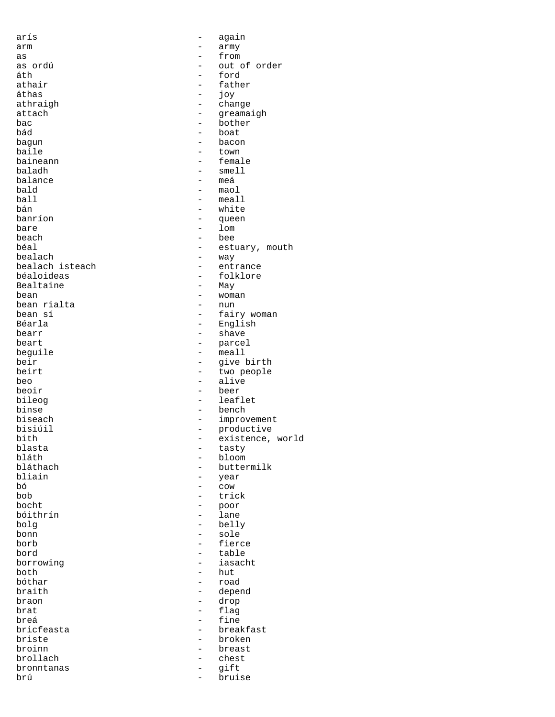arís - again arm - army as - from áth - ford áthas<br>athraigh bád - boat bagun - bacon - bacon - bacon - bacon - bacon - bacon - bacon - bacon - bacon - bacon - bacon - bacon - bacon baladh - smell balance<br>bald bald - maol ball - meall bán - white banríon - queen bare - lom<br>beach - lom<br>- bee beach - bee bealach isteach<br>béaloideas Bealtaine bean - woman bean rialta<br>bean sí bearr - shave beart - shave beart - shave beart - shave - shave - shave - shave - shave - shave - shave - shave - shave - shave - shave - shave - shave - shave - shave - shave - shave - shave - shave - shave - shave - shav beo - alive - alive - alive - alive - alive - alive - alive - alive - alive - alive - alive - alive - alive blasta - tasty bláth - bloom bliain ann an t-aiseann an t-aiseann an t-aiseann an t-aiseann an t-aiseann an t-aiseann an t-aiseann an t-aiseann an t-aiseann an t-aiseann an t-aiseann an t-aiseann an t-aiseann an t-aiseann an t-aiseann an t-aiseann an  $\begin{array}{ccc} b\acute{0} & - & \text{cow} \\ b\acute{0} & - & \text{tri} \end{array}$ bob - trick<br>bocht - poor bóithrín - lane bolg - belly bonn - sole<br>borb - fier bord - table borrowing  $-$  table borrowing - table both - hut<br>bóthar - road - road bóthar - road braon - drop brat - flag<br>breá - fine breá - fine<br>bricfeasta - breal - breal brollach - chest bronntanas - gift brú - bruise

as ordú - out of order - father<br>- joy athraigh  $\overline{a}$  - change attach  $\overline{a}$ attach ann ann an Suidhean ann an Suataigh ann an Suataigh ann an Suataigh ann an Suataigh an Suataigh an Suataigh an Suataigh ann an Suataigh an Suataigh an Suataigh an Suataigh an Suataigh an Suataigh an Suataigh an Suat bac - bother<br>bád - boat - boat baile - town baineann ann an Dàrachasacha ann an tbéal<br>
béalach<br>
bealach<br>
ann ann an t-aistear ann an t-aistear ann an t-aistear ann an t-aistear ann an t-aistear ann an t-aistear ann an t-aistear an t-aistear an t-aistear an t-aistear an t-aistear an t-aistear an t-aiste - way<br>- entrance - folklore<br>- May bean sí theories and the fairy woman bear sí theories and the fairy woman bear sí theories and the fairy woman<br>Béarla dh'air ann an t-air ann an t-air ann an t-air an t-air ann an t-air an t-air an t-air an t-air an t-air Béarla - English beart - parcel - meall beir - give birth<br>
beirt - two people beirt - two people<br>
beo<br>
- alive beoir - beer bileog and the leaflet binse - bench<br>biseach - improvement biseach - improvement bisiúil - productive bith  $-$  existence, world blasta bláthach - buttermilk - poor - fierce<br>- table borrowing - iasacht - depend - breakfast briste - broken broinn - breast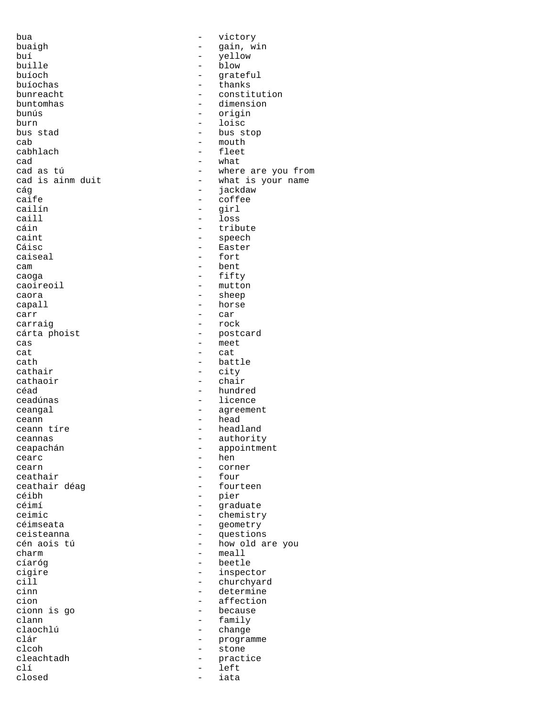bua - victory buaigh  $-$  gain, win<br>buí  $-$  yellow  $-$  yellow buí - yellow buille - blow buíoch - grateful buíochas - thanks bunreacht - constitution<br>
buntomhas - constitution<br>
- dimension buntomhas - dimension bunús - origin burn - loisc bus stad  $\begin{array}{ccc} - & - & - \\ - & \text{bus stop} \end{array}$ cab - mouth<br>cabhlach - fleet  $\c{cad}$  - what cad as tú  $-$  where are you from<br>cad is ainm duit  $-$  what is your name cág - jackdaw caife - coffee - coffee - coffee - coffee - coffee - coffee - coffee - coffee - coffee - coffee - coffee - coffee - coffee - coffee - coffee - coffee - coffee - coffee - coffee - coffee - coffee - coffee - coffee - coffee cailín - girl caill - loss cáin - tribute caint - speech<br>
Cáisc - Easter Cáisc - Easter<br>
Caiseal - Easter<br>
- fort cam - bent caoga - fifty caoireoil and the mutton caora and the mutton caora and the mutton caora and the mutton caora and the mutton c caora - sheep capall - horse<br>carr - car carr - car carraig and the carraig carraig to the contract of the contract of the contract of the contract of the contract of the contract of the contract of the contract of the contract of the contract of the contract of the contrac cárta phoist  $-$  postcard cas - meet - meet - meet - cat cat - cat cath - battle<br>
cathair - city cathair - city<br>cathaoir - chai cathaoir anns an chair anns an chair anns an chair anns an chair an chair an chair an chair an chair an chair an chair an chair an chair an chair an chair an chair an chair an chair an chair an chair an chair an chair an c ceadúnas - licence ceangal extensive contract to the contract of the contract of the contract of the contract of the contract of the contract of the contract of the contract of the contract of the contract of the contract of the contract of ceann  $\begin{array}{ccc} \text{cean} & \text{P} \\ \text{mean} & \text{time} \\ \end{array}$ ceannas - authority ceapachán - appointment cearc - hence the cearn - hence the set of the set of the set of the set of the set of the set of the set of the set of the set of the set of the set of the set of the set of the set of the set of the set of the set of the cearn - corner<br>
ceathair<br>
- four ceathair<br>ceathair déag ceathair déag  $\overline{\phantom{a}}$  - fourteen<br>céibh - pier céibh - pier ceimic - chemistry céimseata - geometry ceisteanna - questions charm - meall cíaróg - beetle cigire - inspector<br>cill - churchyar - churchyar cill - churchyard<br>
cinn - churchyard<br>
- determine cinn - determine - determine - determine - determine - determine - determine - determine - determine - determine - determine - determine - determine - determine - determine - determine - determine - determine - determine cion  $\frac{1}{2}$  - affection cionn is go clann - family<br>
claochlú - change claochlú - change clcoh - stone<br>
cleachtadh - practi cleachtadh - practice clí - left closed - iata

- fleet - what is your name - fort - hundred - headland - graduate - how old are you - because - programme<br>- stone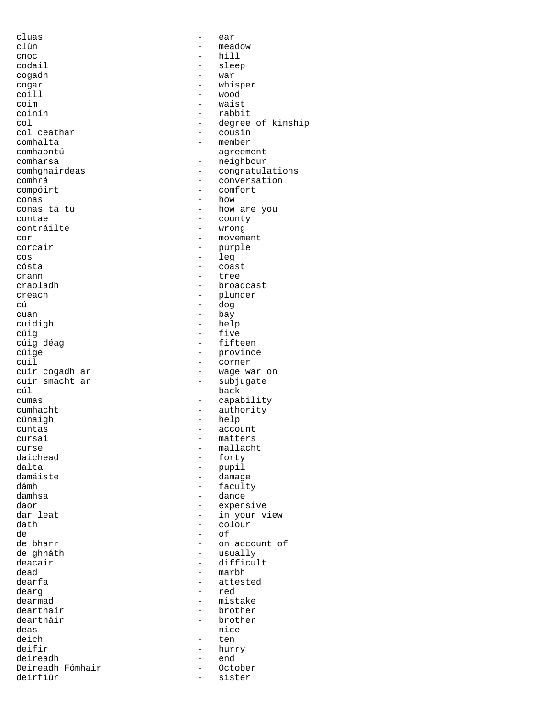cluas - ear clún - meadow cnoc - hill - hill - hill - slee cogadh - war coill and the coil of the coil of the coil of the coil of the coil of the coil of the coil of the coil of the coil of the coil of the coil of the coil of the coil of the coil of the coil of the coil of the coil of the coil coim - waist coinín - rabbit comhalta - member conas<br>conas tá tú contae - county<br>contráilte - county - wrong corcair - purple cos - leg<br>cósta - coas - coas cósta - coast cú cú a chomhchaidh ann an dog cuan - bay cuidigh cúig - five cúil - corner cúnaigh - help daichead - forty<br>dalta - forty - forty dalta - pupil<br>damáiste - component - damag damáiste - damage de - of de ghnáth - usually dead - marbh dearg - red dearthair<br>deartháir deich – ten deifir – ten deifir – ten deifir – ten deifir – ten deifir – ten deifir – ten deifir – ten deifir Deireadh Fómhair<br>deirfiúr

- sleep<br>- war cogar - whisper<br>coill - wood - wood col  $\begin{array}{ccc}\n\text{col} & \text{eq} \\
\text{col} & \text{ceathar} \\
\text{col} & \text{ceathar}\n\end{array}$ col ceathar  $\overline{c}$  - cousin  $\overline{c}$  - cousin  $\overline{c}$  - member - agreement comharsa - neighbour comhghairdeas extending the congratulations comhrá - conversation compóirt - comfort<br>conas - how conas tá tú  $\begin{array}{ccc} - & \text{how are you} \\ - & \text{count} \end{array}$ - wrong cor - movement - tree craoladh - broadcast creach - plunder cúig déag  $\overline{c}$  - fifteen<br>  $\overline{c}$ úige - province cúige - province - province<br>cúil - corner cuir cogadh ar  $\frac{1}{2}$  - wage war on  $\frac{1}{2}$  and  $\frac{1}{2}$  - subjugate cuir smacht ar  $\overline{c}$  - subjugate<br>cúl - back - back cumas - capability cumhacht - authority cuntas - account<br>cursaí - matters cursaí - matters<br>curse - mallach curse - mallacht<br>daichead - - - - - - - - - - - - - - forty dámh - faculty - dance daor expensive - expensive dar leat  $-$  in your view dath - colour - on account of<br>- usually deacair - difficult dearfa - attested - mistake<br>- brother deartháir - brother - nice - hurry<br>- end deireadh - end deirfiúr - sister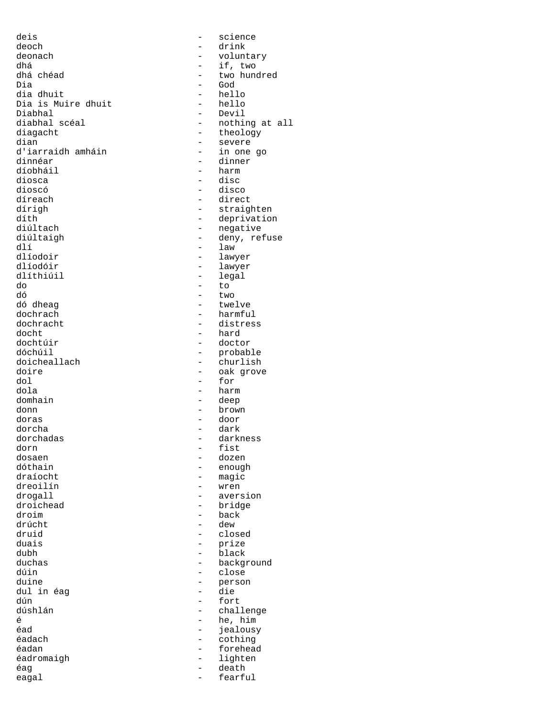deis - science deoch - drink deonach - voluntary dhá  $\frac{d}{d}$  - if, two dhá chéad - two hun dhá chéad - two hundred dia dhuit - hello Dia is Muire dhuit<br>Diabhal Diabhal - Devil diabhal scéal - nothing at all diagacht - theology<br>dian - severe d'iarraidh amháin dinnéar <br/> - dinner <br/> - dinner díobháil - harm diosca - disc dioscó - disco díreach - direct dírigh - straighten<br>díth - deprivation díth - deprivation diúltach - negative diúltaigh - deny, refuse dlí - law dlíodoir - lawyer dlíodóir - lawyer do - to dó - two dó dheag - twelve dochrach - harmful<br>dochracht - distres dochracht - distress docht - hard dochtúir - doctor dóchúil - probable doicheallach - churlish<br>doire - oak grove doire - oak grove<br>dol - for dol - for domhain - deep donn - brown doras - door dorcha - dark dorchadas - darkness dorn - fist dosaen - dozen dóthain - enough dreoilín - wren drogall - aversion - aversion<br>droichead - bridge droim - back druid - closed duais - prize dubh - black duchas - background dúin - close dul in éag dún - fort dúshlán - challenge<br>
é challenge - challenge é de la component de la component de la component de la component de la component de la component de la compon<br>En 1980, en 1980, en 1980, en 1980, en 1980, en 1980, en 1980, en 1980, en 1980, en 1980, en 1980, en 1980, en éad - jealousy éadan - forehead éadromaigh éag - death eagal eagal - fearful

- God<br>- hello - severe<br>- in one go - legal - harm - magic - bridge - dew - person<br>- die - cothing<br>- forehead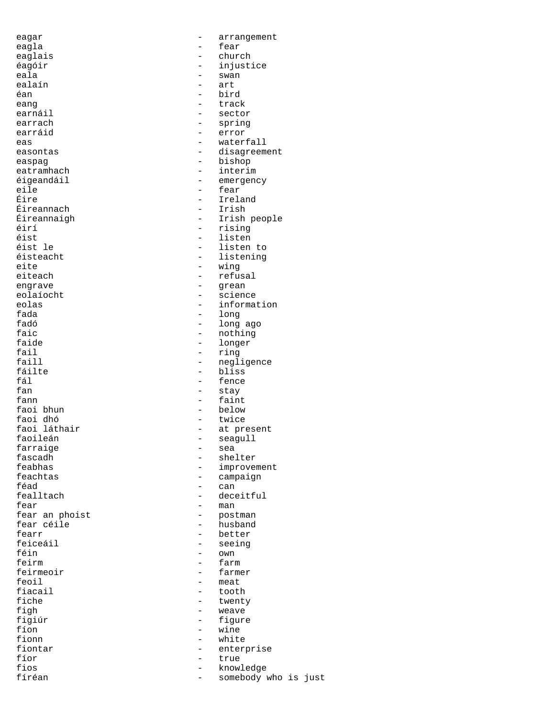ealaín — arthur anns an t-aisimeil<br>Tean — arthur anns an t-aisimeil Éireannach<br>Éireannaigh farraige<br>fascadh feirmeoir<br>feoil

eagar - arrangement eagla - fear eaglais - church - injustice eala - swan - swan - swan - swan - swan - swan - swan - swan - swan - swan - swan - swan - swan - sw éan - bird eang - track earnáil is an teachtrachaidh an teachail an teachaiste an teachaiste an teachaiste an teachaiste<br>Tagairtí an teachaiste an teachaiste an teachaiste an teachaiste an teachaiste an teachaiste an teachaiste an - sector earrach - spring<br>earráid - error - error eas - waterfall easontas easontas easontas easontas easontas extensivales extensivales extending extending to disagreement easpag - bishop - bishop eatramhach - interim éigeandáil - emergency eile - fear - Ireland<br>- Irish Éireannaigh - Irish people éirí <sup>-</sup> rising - rising - rising - rising - rising - rising - rising - rising - rising - rising - rising - rising - rising - rising - rising - rising - rising - rising - rising - rising - rising - rising - rising - rising éist - listen éist le - listen to éisteacht - listening<br>eite - wing eite - wing<br>eiteach - refus - refusal engrave - grean eolaíocht - science eolas - information<br>fada - - information fada - long fadó - long ago faic - nothing - nothing - nothing - nothing - nothing - nothing - nothing - nothing - nothing - nothing - nothing - nothing - nothing - nothing - nothing - nothing - nothing - nothing - nothing - nothing - nothing - nothi faide  $\begin{array}{ccc} - & \text{longer} \\ - & \text{ring} \end{array}$ fail - ring<br>faill - neql: faill - negligence<br>fáilte - hans - hiss fáilte - bliss<br>fáilte - bliss<br>fáil fál - fence - stay fann - faint<br>faoi bhun - below - below faoi bhun - below faoi dhó - twice faoi láthair  $\begin{array}{ccc} - & 1 & - \\ - & 0 & - \end{array}$  at present faoileán - seagull<br>- sea fascadh - shelter feabhas - improvement feachtas — campaign<br>féad — can féad - can fealltach - deceitful<br>fear - man  $-$  man<br> $-$  post fear an phoist  $-$  postman fear céile **churchaine an t-an-state an am an t-an-state an am an am an am an am an am an am an am an am an am** fearr - better<br>feiceáil - seeing feiceáil - seeing féin - own feirm - farm<br>feirmeoir - farmer feoil - meat<br>fiacail - toot fiacail - tooth<br>fiche - twenty fiche  $\qquad \qquad -$  twenty<br>figh  $\qquad \qquad -$  weave figh - weave<br>figiúr - figure figiúr - figure - wine fionn - white<br>fiontar - white<br>- entern fiontar - enterprise fíor - true fios - knowledge somebody who is just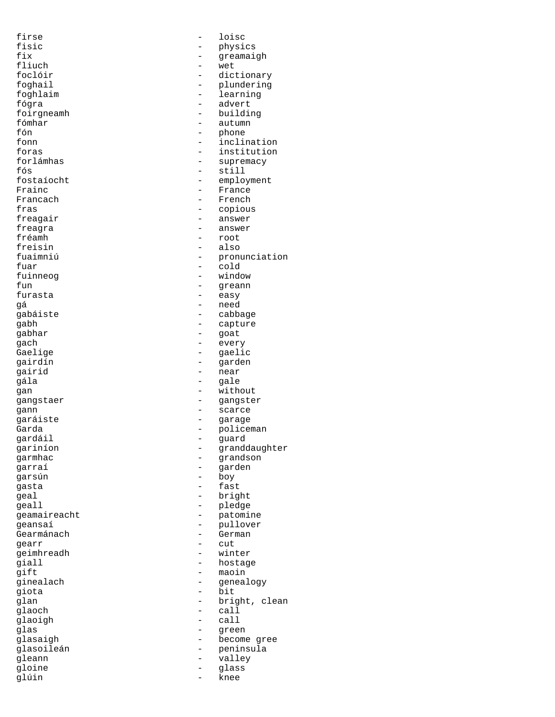firse - loisc fisic - physics<br>fix - physics<br>- qreamai fix  $-$  greamaigh<br>fliuch  $-$  wet fliuch - wet<br>foclóir - dict foclóir - dictionary foghail  $\qquad \qquad -$  plundering foghlaim - learning fógra - advert foirgneamh - building<br>fómhar - autumn fómhar - autumn<br>fón - bhone fón - phone fonn - inclination<br>foras - institution - institution forlámhas - supremacy fós - still - employment Frainc - France Francach – Franch – French – French – French – French – French – French – French – French – French – French – F fras - copious freagair answer – answer<br>freagra freagra - answer fréamh - root<br>freisin - also freisin - also<br>fuaimniú - pron - pronunciation fuar - cold fuinneog fun - greann furasta - easy gá - need gabáiste - cabbage - cabbage - cabbage - capture - capture - capture - capture - capture - capture gabh - capture gabhar - goat gach - every - gaelic gairdín - garden qairid - near qála - gale qan - without gangstaer - gangster gann - scarce garáiste - garage Garda - policeman<br>
gardáil - policeman<br>
- quard gardáil - guard gariníon - granddaughter<br>garmhac - grandson - grandson - grandson<br>garraí - grandson<br>garraí - garden garden garsún - boy gasta - fast qeal - bright geall - pledge geamaireacht - patomine<br>
geansaí - pullover geansaí - pullover - Gearmánach - German<br>gearr - cut gearr - cut<br>qeimhreadh - winter geimhreadh — winter and the state of the state of the state of the state of the state of the state of the state of the state of the state of the state of the state of the state of the state of the state of the state of the |<br>| giall - hostage - hostage - hostage - hostage - hostage - hostage - hostage - hostage - hostage - hostage - <br>| maoin - maoin<br>ginealach - maoin<br>- geneal ginealach - genealogy giota - bit glan - bright, clean - bright, clean - call - call glaoigh - call glas - green glasaigh  $-$  become gree glasoileán - peninsula - valley<br>- qlass gloine - glass<br>qlúin - cheannair - glass<br>- knee glúin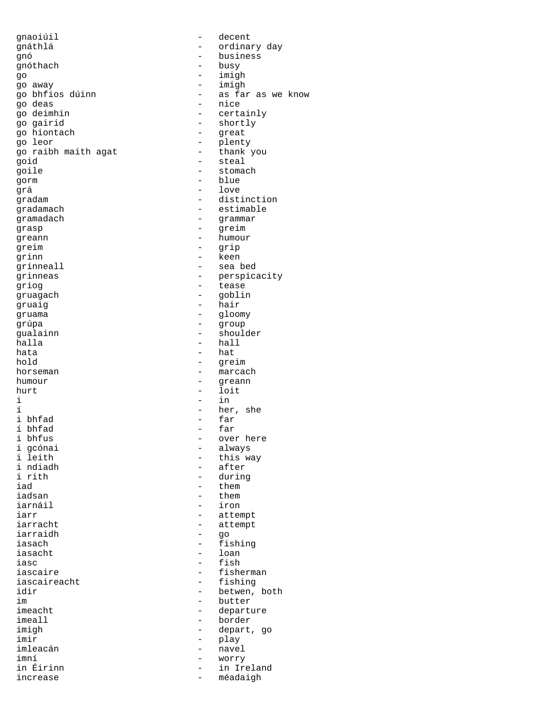qnaoiúil en complete decent gnáthlá - ordinary day gnó - business go - imigh go away - imigh go bhfios dúinn ann an - as far as we know<br>go deas - hice go deas - nice go deimhin - certainly<br>go gairid - shortly go gairid  $\begin{array}{ccc} - & \text{shortly} \\ - & \text{shortly} \end{array}$ go hiontach - great go raibh maith agat goid - steal goile - stomach gorm - blue grá - love gradam - distinction<br>gradamach - estimable gramadach - grammar grasp - greim greim - grip grinn - keen grinneall - sea bed grinneas - perspicacity griog extended the tease of the tease of the tease of the tease of the tease of the tease of the tease of the tease of the tease of the tease of the tease of the tease of the tease of the tease of the tease of the tease of gruagach - goblin gruaig - hair gruama - gloomy - group<br>gualainn - group<br>gualainn - shoul gualainn - shoulder halla - hall  $h$ ata  $-$  hata  $-$  hata  $-$  hata  $-$  hata  $-$  dre hold - greim<br>horseman - marca humour - greann - greann - loit  $i$  -  $in$ í 1 bhfad - her, she i bhfad - far i bhfad - far í bhfad - far i bhfus - over here i gcónai - always i leith  $\begin{array}{ccc} - &$  this way<br>i ndiadh  $\begin{array}{ccc} - &$  after i ndiadh - after i rith  $\qquad \qquad -$  during  $\qquad \qquad -$  them  $\qquad \qquad -$  them  $\qquad \qquad$ iad - them<br>iadsan - them iadsan - them<br>iarnáil - iron iarr - attempt iarracht - attempt<br>
iarraidh - actempt iarraidh - go iasach - fishing iasacht - loan - loan - loan - loan - loan - loan - loan - loan - loan - loan - loan - loan - loan - loan - lo iasc - fish - fish<br>iascaire - fishe - fishe iascaire - fisherman<br>iascaireacht - fishing iascaireacht - fishing<br>idir - betwen. idir - betwen, both - betwen, both im - butter im im the set of the set of the set of the set of the set of the set of the set of the set of the set of the set of the set of the set of the set of the set of the set of the set of the set of the set of the set of the set imeacht - departure<br>imeall - border - border imeall - border imir - play<br>imleacán - avei imleacán - navel imní - worry increase - méadaigh

- busy - plenty<br>- thank you - estimable - humour - marcach - loit - iron - depart, go - in Ireland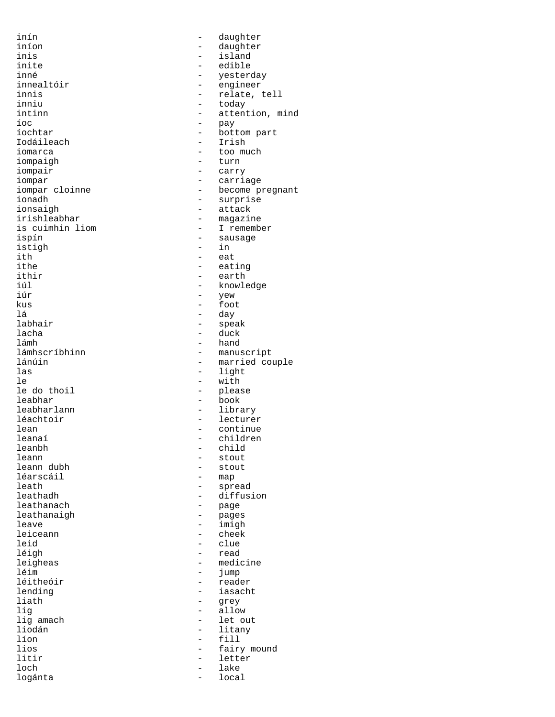inín en an an an an an an an daughter iníon - daughter inis - island inite - edible inné - yesterday innealtóir - engineer innis - relate, tell inniu - today - today - today - today - today - today - today - today - today - today - today - today - today - today - today - today - today - today - today - today - today - today - today - today - today - today - today intinn - attention, mind<br>
ioc<br>
- pay íoc - pay Iodáileach<br>iomarca iompaigh iompair - carry<br>iompar - carri iompar - carriage iompar cloinne  $\frac{1}{2}$  - become pregnant ionadh ionadh - surprise<br>ionsaigh - - surprise<br>- attack ionsaigh - attack irishleabhar - magazine<br>is cuimhin liom - I rememb is cuimhin liom - I remember istigh<br>ith ith  $\qquad -$  eat<br>ithe  $\qquad -$  eat ithe  $\qquad \qquad -$  eating<br>ithir  $\qquad \qquad -$  earth ithir - earth iúl - knowledge iúr - yew kus - foot lá - day labhair - speak lacha - duck lámh - hand lámhscríbhinn - manuscript<br>
1ánúin - married co lánúin - married couple las  $-$  light  $-$  light  $-$  with le - with leabhar - book leabharlann - library<br>1éachtoir - lecture léachtoir - lecturer lean - continue leanaí - children leanbh - child leann dubh - stout léarscáil<br>leath leath - spread leathanach leathanaigh leave - imigh leiceann - cheek<br>leid - clue leid - clue<br>1éigh - read léigh - read leigheas - medicine léim - jump léitheóir ann an t-adeachaidh an t-adeachaidh an t-adeachaidh an t-adeachaidh an t-adeachaidh an t-adeachaidh<br>Iomraidhean an t-adeachaidh an t-adeachaidh an t-adeachaidh an t-adeachaidh an t-adeachaidh an t-adeachaidh an lending  $\begin{array}{ccc} - & iasacht \\ - & grey \end{array}$ lig<br>lig amach and the set of the set of the set of the set of the set of the set of the set of the set of the set o<br>discussed by the set of the set of the set of the set of the set of the set of the set of the set of the s lig amach  $\qquad -$  let out<br>liodán  $\qquad -$  litany líon - fill lios - fairy mound loch - lake logánta - local

- bottom part<br>- Irish - too much<br>- turn - sausage<br>- in - please - stout<br>- stout - diffusion<br>- page - grey - litany letter<br>lake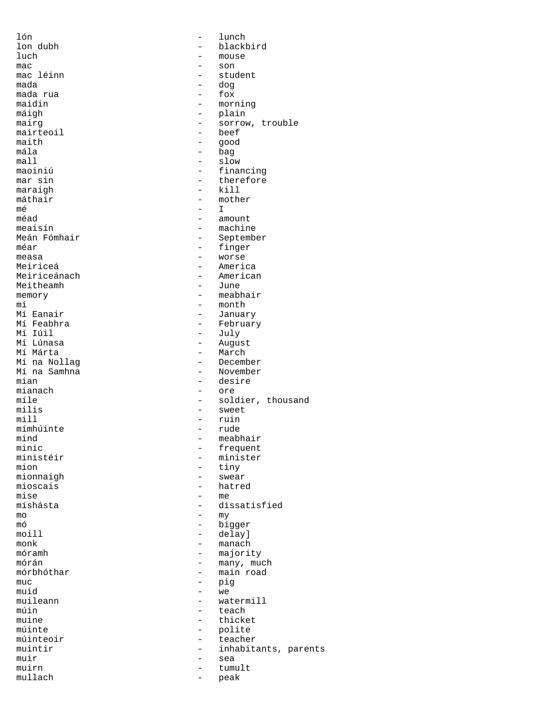mac - son mada rua<br>maidin mairteoil - beef<br>maith - qood maith - good  $\begin{tabular}{ccc} & \multicolumn{2}{c}{} & \multicolumn{2}{c}{} & \multicolumn{2}{c}{} & \multicolumn{2}{c}{} \\ \multicolumn{2}{c}{} & \multicolumn{2}{c}{} & \multicolumn{2}{c}{} & \multicolumn{2}{c}{} \\ \multicolumn{2}{c}{} & \multicolumn{2}{c}{} & \multicolumn{2}{c}{} & \multicolumn{2}{c}{} \\ \multicolumn{2}{c}{} & \multicolumn{2}{c}{} & \multicolumn{2}{c}{} & \multicolumn{2}{c}{} \\ \multicolumn{2}{c}{} & \multicolumn{2}{c}{} & \multicolumn{2}{c}{} & \mult$ máthair  $-\text{m}$   $-\text{m}$ mé - I Meiriceánach - American Meitheamh Mí Iúil - July Mí na Samhna<br>mian mímhúinte - rude - rude - rude - rude - rude - rude - rude - rude - rude - rude - rude - rude - rude - rude mionnaigh<br>mioscais mise - me mo  $-$  my muc - pig muid - we muir sea muirn  $-$  tumult  $-$  tumult  $-$  neak  $-$  neak mullach - peak

lón - lunch lon dubh - blackbird mouse mac léinn ann an Student ann an Student ann an Student ann an Student ann an Student ann an Student ann an Student ann an Student ann an Student ann an Student ann an Student ann an Student ann an Student ann an Student an - dog<br>- fox maidin - morning - plain mairg - sorrow, trouble<br>mairteoil - beef - bag maoiniú  $\begin{array}{ccc} 1 & - & - \\ - & - & \end{array}$  financing mar sin - therefore<br>- kill maraigh  $-$  kill<br>máthair  $-$  mother méad - amount meaisín - machine Meán Fómhair<br>
méar e september<br>
- finger méar - finger measa - worse<br>Meiriceá - americ - America<br>- American memory – meabhair<br>mí – month – month mí - month Mí Eanair<br>Mí Feabhra — Chromann ann an Dealais an t-San Dealais (baile an t-San Dealais an t-San Dealais an t-San Dealai<br>Mí Teachtra — Chromann an t-San Dealais (baile an t-San Dealais an t-San Dealais an t-San Dealais an Mí Feabhra - February Mí Lúnasa - August - March<br>- December Mí na Nollag<br>Mí na Samhna - December<br>- November mian - desire<br>mianach - ore - ore - ore míle  $\qquad \qquad$  - soldier, thousand milis - sweet - sweet - sweet - sweet - ruin - ruin<br>- rude mind - meabhair<br>minic - frequent minic - frequent ministéir - minister<br>mion - tiny - tiny<br>- swear mioscais  $\overline{\phantom{a}}$  - hatred  $\overline{\phantom{a}}$  - me - dissatisfied mó - bigger moill  $-\text{delay}$ <br>monk – manach monk - manach móramh - majority mórán - many, much mórbhóthar — main road<br>muc — piq muileann - watermill<br>
míin - teach<br>
- teach múin  $\begin{array}{ccc} \text{min} & - & \text{teach} \\ \text{min} & - & \text{thick} \end{array}$ muine - thicket<br>múinte - polite - polite<br>- teacher múinteoir — teacher<br>muintir — inhabita muintir  $\begin{array}{ccc}\n-muintir & - & inhabitants, parents \\
-muir & - & sea\n\end{array}$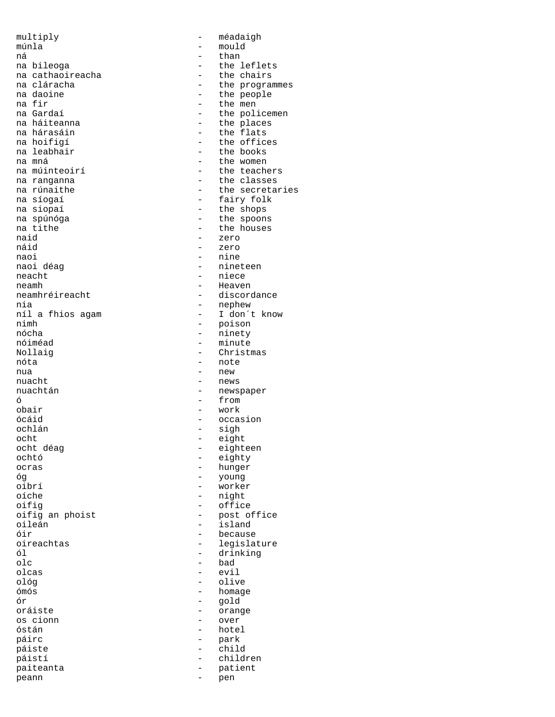multiply - méadaigh múnla - mould ná horsky kontrol († 1872)<br>18. máj – Alban Horschweise, francouzsky filozof, francouzsky filozof, francouzsky filozof, francouzsky filozo<br>18. máj – Alban Horschweise, francouzsky filozof, francouzsky filozof, francouzsky f na bileoga<br>na cathaoireacha<br>
anns - the chairs na cathaoireacha<br>na cláracha na cláracha - the programmes<br>na daoine - the people na daoine  $\begin{array}{ccc} - & + \end{array}$  the people na fir na fir - the men na Gardaí  $\begin{array}{ccc} 1 & -1 & -1 \\ - & -1 & -1 \end{array}$  the policement na háiteanna na háiteanna anns an the places na hárasáin na hárasáin - the flats na hoifigí  $-$  the offices na leabhair  $-$  the books na mná  $-$  the women na múinteoirí **an the teachers** na ranganna<br>
na rúnaithe classes<br>
- the secreta na rúnaithe  $\begin{array}{ccc} - & + \text{the secretaries} \\ - & - \text{fairy folk} \end{array}$ na síogaí - fairy folk na siopaí  $-$  the shops<br>na spúnóga  $-$  the spoon: na spúnóga  $\overline{a}$  - the spoons na tithe  $\overline{a}$ na tithe  $\overline{ }$  - the houses<br>naid - zero naid - zero<br>náid - zero náid - zero naoi - nine naoi déag  $\overline{a}$  - nineteen neacht neamh<br>
neamhréireacht<br>
anns an t- discord nia - nephew níl a fhios agam<br>nimh nimh - poison nócha - ninety Nollaig - Christmas nóta - note nua - new - new - new - new - new - new - new - new - new - new - new - new - new - new - new - new - new - new - new - new - new - new - new - new - new - new - new - new - new - new - new - new - new - new - new - new nuacht - news ó - from obair - work ócáid - occasion - occasion<br>
ochlán - sigh ocht - eight ocht déag - eighteen ochtó - eighty<br>ocras - hunger - hunger óg - young oibrí - worker oifig<br>
oifig an phoist<br>
oifig an phoist<br>
on the contract of the post of the post of the post of the post of the post of the post of the post of the post of the post of the post of the post of the post of the post of the po oileán - island óir - because oireachtas - legislature ól - drinking olc - bad olcas - evil ológ - olive ómós - homage oráiste - orange<br>os cionn - over os cionn - over páirc - park páiste páistí - children paiteanta - patient<br>neann - pen peann - pen

- the books - niece - discordance - minute - newspaper - sigh - hunger - night - post office ór - gold - hotel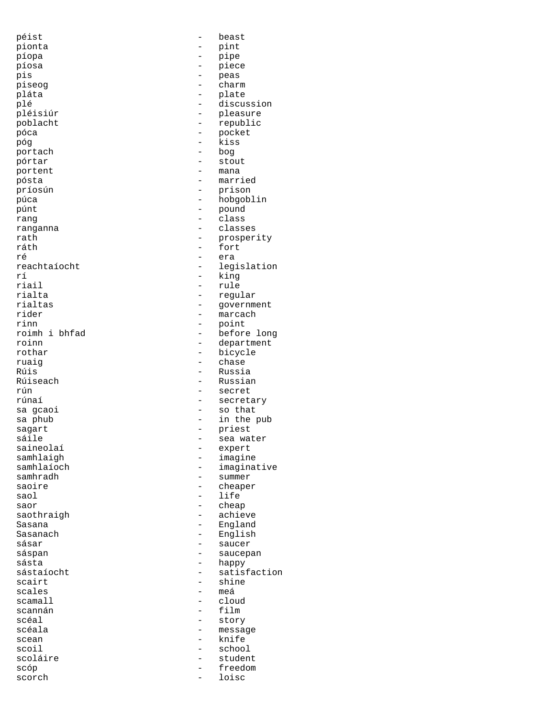| péist          |                          | beast         |
|----------------|--------------------------|---------------|
| pionta         |                          | pint          |
| píopa          |                          | pipe          |
| píosa          |                          | piece         |
| pis            | -                        | peas          |
| piseog         |                          | charm         |
| pláta          | -                        | plate         |
| plé            | -                        | discussion    |
| pléisiúr       | $\overline{\phantom{0}}$ | pleasure      |
| poblacht       |                          | republic      |
| póca           |                          | pocket        |
| póg            |                          | kiss          |
| portach        |                          | pod           |
| pórtar         |                          | stout         |
| portent        |                          | mana          |
| pósta          | $\overline{\phantom{0}}$ | married       |
| príosún        |                          | prison        |
| púca           |                          | hobgoblin     |
| púnt           |                          | pound         |
| rang           |                          | class         |
| ranganna       |                          | classes       |
| rath           |                          | prosperity    |
| ráth           |                          |               |
|                |                          | fort          |
| ré             |                          | era           |
| reachtaíocht   |                          | legislation   |
| rí             |                          | king          |
| riail          |                          | rule          |
| rialta         |                          | regular       |
| rialtas        |                          | government    |
| rider          | $\overline{\phantom{0}}$ | marcach       |
| rinn           |                          | point         |
| roimh i bhfad  | $\overline{\phantom{0}}$ | before long   |
| roinn          | -                        | department    |
| rothar         | $\overline{\phantom{0}}$ | bicycle       |
| ruaig          |                          | chase         |
| Rúis           |                          | Russia        |
| Rúiseach       |                          | Russian       |
| rún            |                          | secret        |
| rúnaí          |                          | secretary     |
| sa gcaoi       | $\overline{\phantom{0}}$ | so that       |
| sa phub        |                          | in the pub    |
| sagart         |                          | priest        |
| sáile          | —                        | sea water     |
| saineolaí      |                          | expert        |
| samhlaigh      |                          | imagine       |
| samhlaíoch     |                          | imaginative   |
| samhradh       |                          | summer        |
| saoire         |                          | cheaper       |
| saol           |                          | life          |
| saor           |                          | cheap         |
| saothraigh     |                          | achieve       |
| Sasana         |                          | England       |
| Sasanach       |                          | English       |
| sásar          |                          | saucer        |
| sáspan         |                          | saucepan      |
| sásta          |                          | happy         |
| sástaíocht     |                          | satisfaction  |
| scairt         |                          | shine         |
|                |                          |               |
| scales         |                          | meá           |
| scamall        |                          | cloud<br>film |
| scannán        |                          |               |
| scéal          |                          | story         |
| scéala         |                          | message       |
| scean          |                          | knife         |
| scoil          |                          | school        |
| scoláire       |                          | student       |
| scóp<br>scorch |                          | freedom       |
|                |                          | loisc         |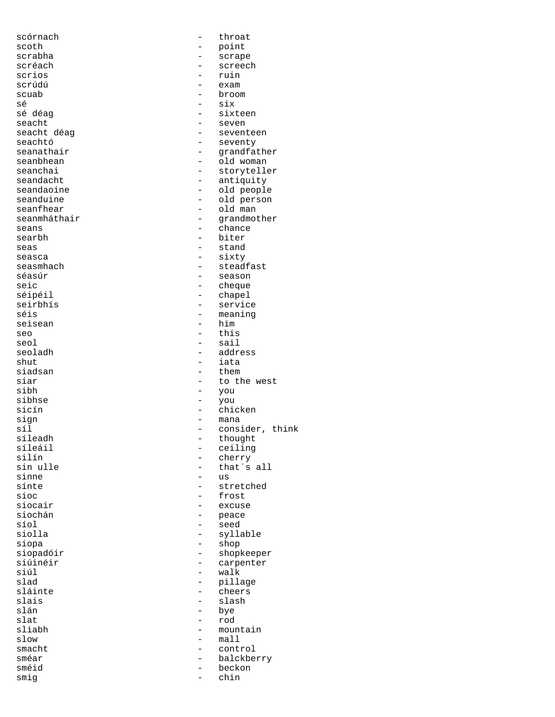| scórnach     | throat          |
|--------------|-----------------|
| scoth        | point           |
| scrabha      | scrape          |
| scréach      | screech         |
| scrios       | ruin            |
|              |                 |
| scrúdú       | exam            |
| scuab        | broom           |
| sé           | six             |
| sé déag      | sixteen         |
|              |                 |
| seacht       | seven           |
| seacht déag  | seventeen       |
| seachtó      | seventy         |
| seanathair   | grandfather     |
|              |                 |
| seanbhean    | old woman       |
| seanchai     | storyteller     |
| seandacht    | antiquity       |
| seandaoine   | old people      |
|              |                 |
| seanduine    | old person      |
| seanfhear    | old man         |
| seanmháthair | grandmother     |
| seans        | chance          |
|              |                 |
| searbh       | biter           |
| seas         | stand           |
| seasca       | sixty           |
| seasmhach    | steadfast       |
|              |                 |
| séasúr       | season          |
| seic         | cheque          |
| séipéil      | chapel          |
| seirbhís     | service         |
|              |                 |
| séis         | meaning         |
| seisean      | him             |
| seo          | this            |
| seol         | sail            |
|              |                 |
| seoladh      | address         |
| shut         | iata            |
| siadsan      | them            |
| siar         | to the west     |
|              |                 |
| sibh         | you             |
| sibhse       | you             |
| sicín        | chicken         |
| sign         | mana            |
|              |                 |
| síl          | consider, think |
| síleadh      | thought         |
| síleáil      | ceiling         |
| silín        | cherry          |
|              |                 |
| sin ulle     | that's all      |
| sinne        | us              |
| sínte        | stretched       |
| sioc         | frost           |
|              |                 |
| siocair      | excuse          |
| siochán      | peace           |
| síol         | seed            |
| siolla       | syllable        |
|              |                 |
| siopa        | shop            |
| siopadóir    | shopkeeper      |
| siúinéir     | carpenter       |
| siúl         | walk            |
|              |                 |
| slad         | pillage         |
| sláinte      | cheers          |
| slais        | slash           |
| slán         | bye             |
|              |                 |
| slat         | rod             |
| sliabh       | mountain        |
| slow         | mall            |
| smacht       | control         |
| sméar        |                 |
|              | balckberry      |
| sméid        | beckon          |
| smiq         | chin            |
|              |                 |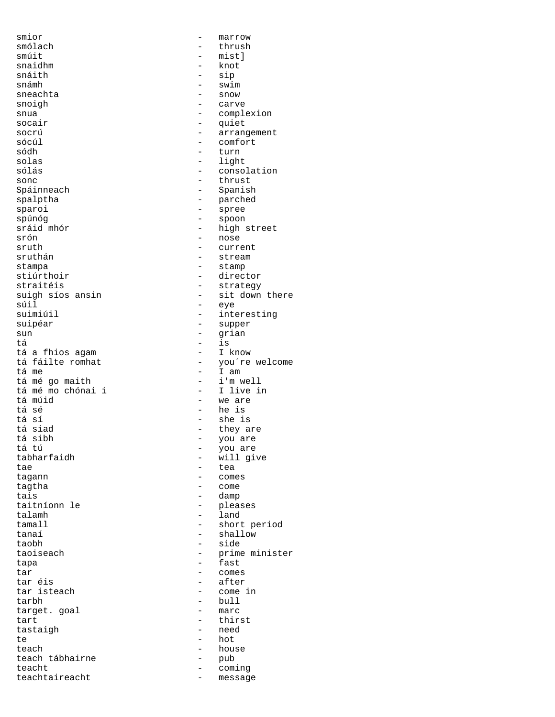smior  $-$  marrow smólach - thrush snaidhm - knot snáith — sin an t-easgailtean an t-easgailtean an t-easgailtean an t-easgailtean an t-easgailtean an t-easgail<br>Tagairtí sneachta snoigh - carve socair - quiet socrú - arrangement<br>sócúl - comfort sócúl - comfort solas - light sólás - consolation sonc - thrust<br>Spáinneach - thrust - thrust<br>- Spanish spalptha - parched sparoi - spree - spree - spree - spoon - spree - spoon - spree - spoon - spree - spoon - spree - spoon - spree spúnóg - spoon sráid mhór  $\begin{array}{ccc} \text{sráid mhór} & - & \text{high street} \\ \text{srón} & - & \text{nose} \end{array}$ srón - nose sruth  $\overline{a}$  - current  $\overline{a}$  - current  $\overline{a}$  - stream stampa - stamp straitéis - strategy súil - eye suimiúil - interesting<br>suipéar - supper sun - grian tá a fhios agam<br>tá fáilte romhat tá mé go maith<br>
tá mé mo chónai i chomhchónai - I live in tá mé mo chónai i tá múid - we are tá sé - he is tá sí - she is tá siad - they are tá sibh - you are tá tú - you are tae tagann anns an teachar anns an teachar an teachar an teachar an teachar an teachar an teachar an teachar a<br>Tagann an teachar an teachar an teachar an teachar an teachar an teachar an teachar an teachar an teachar an te tagtha - come tais - damp talamh - land tamall  $-$  short period tanaí - shallow taobh - side tapa - fast tar - comes tar éis - after tarbh - bull target. goal<br>tart tastaigh te - hot teach - house teach tábhairne - pub teacht<br>teachtaireacht - coming<br>teachtaireacht - messag

- mist]<br>- knot - swim<br>- snow - complexion - turn - Spanish - stream - director suigh síos ansin<br>súil - sit down there<br>eye - supper - is<br>- I know tá fáilte romhat - you're welcome<br>
tá me - I am - I am<br>- i'm well - will give - comes - pleases taoiseach - prime minister<br>tapa - fast - fast - come in - thirst<br>- need teachtaireacht - message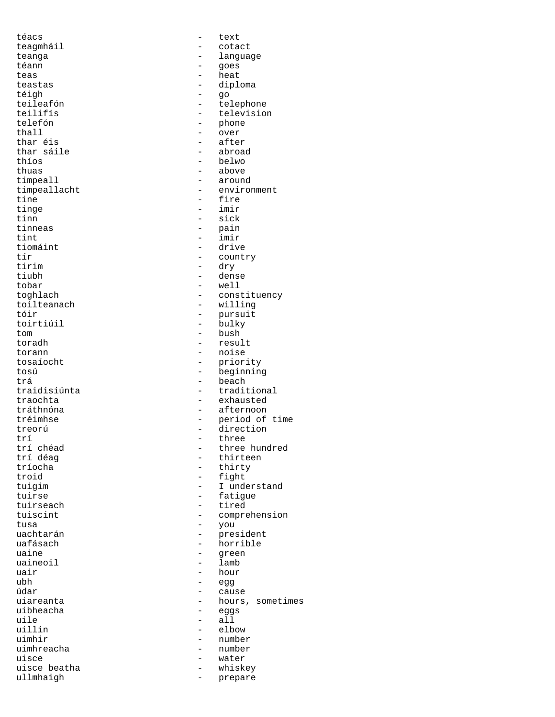téigh - go thar sáile uaineoil anns an t-anns an t-anns an t-anns an t-anns an t-anns an t-anns an t-anns an t-anns an t-anns an t-a

téacs - text teagmháil - cotact teanga - language - language téann comains an comainsteann an téann an goes teas - heat<br>teastas - dipl teastas - diploma<br>téigh - go teileafón - telephone teilifís<br>telefón - television<br>- phone telefón - phone - phone - phone - phone - phone - phone - phone - phone - phone - phone - phone - phone - phone - phone - phone - phone - phone - phone - phone - phone - phone - phone - phone - phone - phone - phone - phon thall  $\begin{array}{ccc} - & \text{over} \\ - & \text{after} \\ \end{array}$ - after<br>- abroad thíos - belwo thuas - above<br>timpeall - around - around timpeall<br>timpeallacht - around<br>- enviro timpeallacht - environment - environment - fire tine  $\qquad \qquad -$  fire  $\qquad \qquad -$  imir tinge - imir tinn - sick<br>tinneas - pain tinneas - pain<br>tint - imir tint - imir<br>tiomáint - driv tiomáint - drive<br>tír - count tír - country tirim - dry<br>tiubh - dens - dense tobar - well toghlach - constituency toilteanach - willing tóir - pursuit - bulky tom - bush - bush - resul toradh - result torann - noise<br>tosaíocht - prior tosaíocht - priority<br>tosú - heginning tosú - beginning<br>trá - beach trá - beach traidisiúnta - traditional<br>traochta - exhausted - exhausted tráthnóna - afternoon tréimhse - period of time treorú - direction<br>trí - three trí  $\text{tr}$ í three  $\text{tr}$  three  $\text{tr}$  three  $\text{tr}$ trí chéad  $\begin{array}{ccc} \texttt{tr} & \texttt{c} & \texttt{c} & \texttt{c} \\ \texttt{tr} & \texttt{d} & \texttt{c} & \texttt{c} & \texttt{c} \\ \texttt{t} & \texttt{c} & \texttt{d} & \texttt{c} & \texttt{c} \end{array}$ trí déag - thirteen tríocha - thirty troid - thirty troid troid - fight<br>tuisim - I under tuigim - I understand<br>
tuirse - Fatigue tuirse - fatigue<br>tuirseach - tired - tired tuiscint  $-$  comprehension tusa - you uachtarán - president uafásach - horrible - green<br>- lamb uair  $\begin{array}{ccc} - & \text{hour} \\ \text{ubh} & - & \text{ecg} \end{array}$ ubh - egg údar - cause uiareanta - hours, sometimes<br>uibheacha - eags uibheacha<br>uile — eggs — eggs — eggs uile - all<br>uillin - elb elbow uimhir - number uimhreacha - number uisce - water uisce beatha<br>ullmhaigh - whiskey<br>- prepare ullmhaigh  $-$  prepare